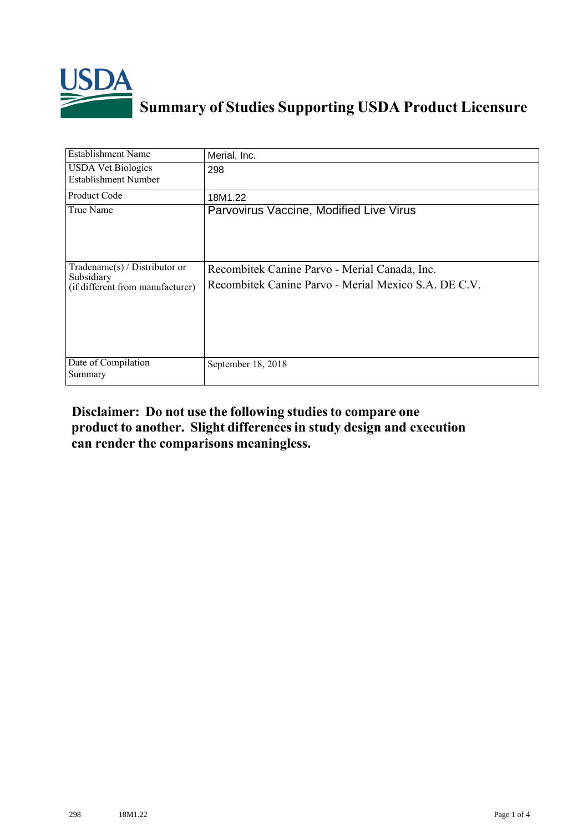

## **Summary of Studies Supporting USDA Product Licensure**

| <b>Establishment Name</b>                                                       | Merial, Inc.                                                                                          |
|---------------------------------------------------------------------------------|-------------------------------------------------------------------------------------------------------|
| <b>USDA Vet Biologics</b><br><b>Establishment Number</b>                        | 298                                                                                                   |
| <b>Product Code</b>                                                             | 18M1.22                                                                                               |
| True Name                                                                       | Parvovirus Vaccine, Modified Live Virus                                                               |
| Tradename(s) / Distributor or<br>Subsidiary<br>(if different from manufacturer) | Recombitek Canine Parvo - Merial Canada, Inc.<br>Recombitek Canine Parvo - Merial Mexico S.A. DE C.V. |
| Date of Compilation<br>Summary                                                  | September 18, 2018                                                                                    |

## **Disclaimer: Do not use the following studiesto compare one product to another. Slight differencesin study design and execution can render the comparisons meaningless.**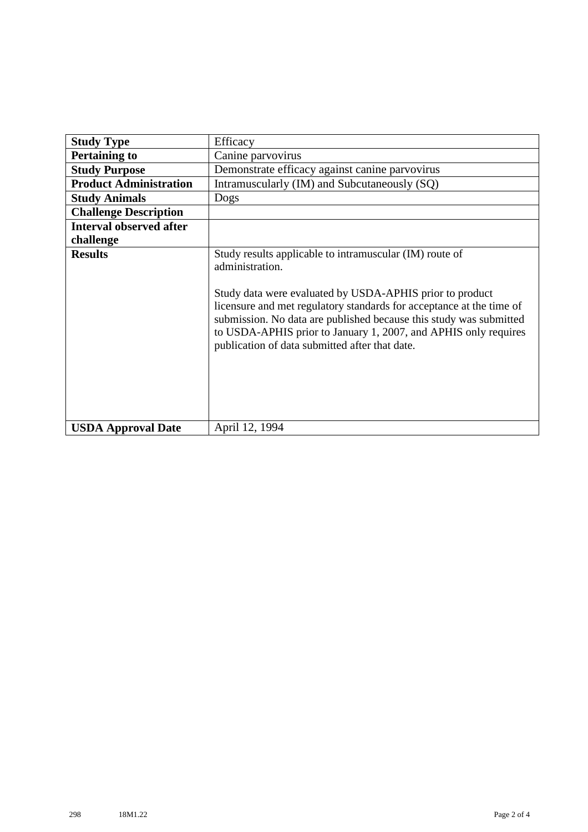| <b>Study Type</b>              | Efficacy                                                                                                                                                                                                                                                                                                                                                                                                  |
|--------------------------------|-----------------------------------------------------------------------------------------------------------------------------------------------------------------------------------------------------------------------------------------------------------------------------------------------------------------------------------------------------------------------------------------------------------|
| <b>Pertaining to</b>           | Canine parvovirus                                                                                                                                                                                                                                                                                                                                                                                         |
| <b>Study Purpose</b>           | Demonstrate efficacy against canine parvovirus                                                                                                                                                                                                                                                                                                                                                            |
| <b>Product Administration</b>  | Intramuscularly (IM) and Subcutaneously (SQ)                                                                                                                                                                                                                                                                                                                                                              |
| <b>Study Animals</b>           | Dogs                                                                                                                                                                                                                                                                                                                                                                                                      |
| <b>Challenge Description</b>   |                                                                                                                                                                                                                                                                                                                                                                                                           |
| <b>Interval observed after</b> |                                                                                                                                                                                                                                                                                                                                                                                                           |
| challenge                      |                                                                                                                                                                                                                                                                                                                                                                                                           |
| <b>Results</b>                 | Study results applicable to intramuscular (IM) route of<br>administration.<br>Study data were evaluated by USDA-APHIS prior to product<br>licensure and met regulatory standards for acceptance at the time of<br>submission. No data are published because this study was submitted<br>to USDA-APHIS prior to January 1, 2007, and APHIS only requires<br>publication of data submitted after that date. |
| <b>USDA Approval Date</b>      | April 12, 1994                                                                                                                                                                                                                                                                                                                                                                                            |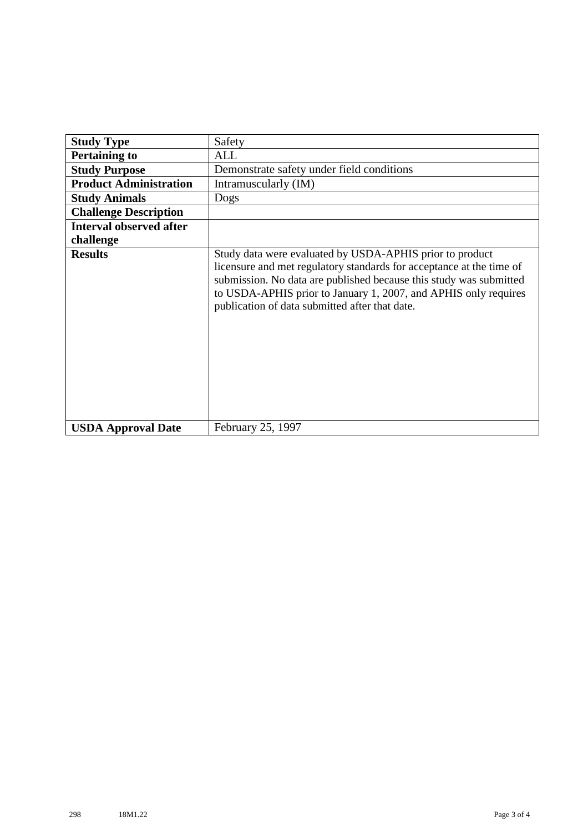| <b>Study Type</b>              | Safety                                                                                                                                                                                                                                                                                                                      |
|--------------------------------|-----------------------------------------------------------------------------------------------------------------------------------------------------------------------------------------------------------------------------------------------------------------------------------------------------------------------------|
| <b>Pertaining to</b>           | ALL                                                                                                                                                                                                                                                                                                                         |
| <b>Study Purpose</b>           | Demonstrate safety under field conditions                                                                                                                                                                                                                                                                                   |
| <b>Product Administration</b>  | Intramuscularly (IM)                                                                                                                                                                                                                                                                                                        |
| <b>Study Animals</b>           | Dogs                                                                                                                                                                                                                                                                                                                        |
| <b>Challenge Description</b>   |                                                                                                                                                                                                                                                                                                                             |
| <b>Interval observed after</b> |                                                                                                                                                                                                                                                                                                                             |
| challenge                      |                                                                                                                                                                                                                                                                                                                             |
| <b>Results</b>                 | Study data were evaluated by USDA-APHIS prior to product<br>licensure and met regulatory standards for acceptance at the time of<br>submission. No data are published because this study was submitted<br>to USDA-APHIS prior to January 1, 2007, and APHIS only requires<br>publication of data submitted after that date. |
| <b>USDA Approval Date</b>      | February 25, 1997                                                                                                                                                                                                                                                                                                           |